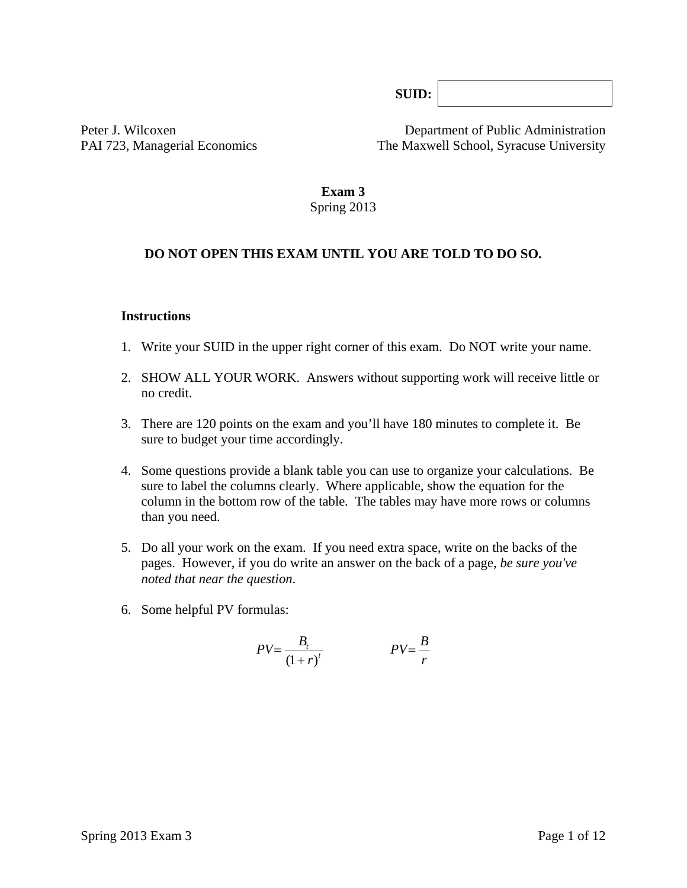**SUID:**

Peter J. Wilcoxen Department of Public Administration PAI 723, Managerial Economics The Maxwell School, Syracuse University

# **Exam 3**

# Spring 2013

### **DO NOT OPEN THIS EXAM UNTIL YOU ARE TOLD TO DO SO.**

#### **Instructions**

- 1. Write your SUID in the upper right corner of this exam. Do NOT write your name.
- 2. SHOW ALL YOUR WORK. Answers without supporting work will receive little or no credit.
- 3. There are 120 points on the exam and you'll have 180 minutes to complete it. Be sure to budget your time accordingly.
- 4. Some questions provide a blank table you can use to organize your calculations. Be sure to label the columns clearly. Where applicable, show the equation for the column in the bottom row of the table*.* The tables may have more rows or columns than you need.
- 5. Do all your work on the exam. If you need extra space, write on the backs of the pages. However, if you do write an answer on the back of a page, *be sure you've noted that near the question*.
- 6. Some helpful PV formulas:

$$
PV = \frac{B_t}{(1+r)^t}
$$
 
$$
PV = \frac{B}{r}
$$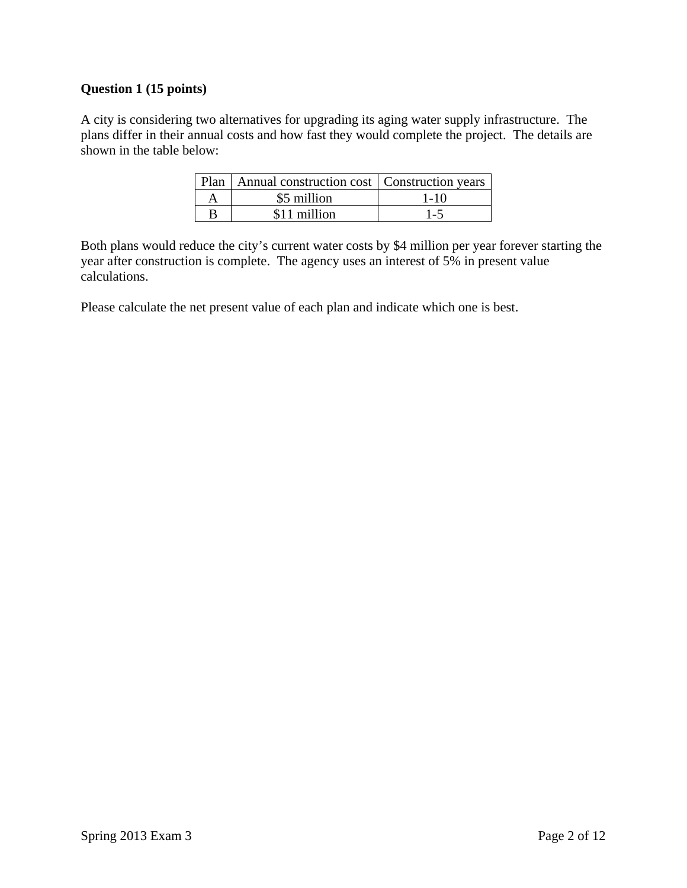# **Question 1 (15 points)**

A city is considering two alternatives for upgrading its aging water supply infrastructure. The plans differ in their annual costs and how fast they would complete the project. The details are shown in the table below:

|   | Plan   Annual construction cost   Construction years |          |
|---|------------------------------------------------------|----------|
| A | \$5 million                                          | $1 - 10$ |
| B | \$11 million                                         | $1 - 5$  |

Both plans would reduce the city's current water costs by \$4 million per year forever starting the year after construction is complete. The agency uses an interest of 5% in present value calculations.

Please calculate the net present value of each plan and indicate which one is best.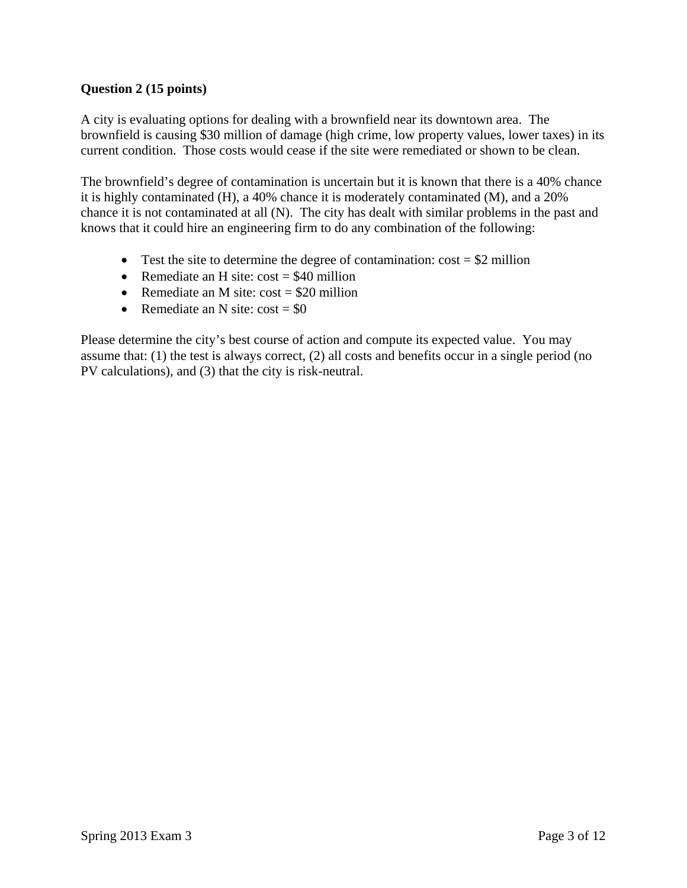# **Question 2 (15 points)**

A city is evaluating options for dealing with a brownfield near its downtown area. The brownfield is causing \$30 million of damage (high crime, low property values, lower taxes) in its current condition. Those costs would cease if the site were remediated or shown to be clean.

The brownfield's degree of contamination is uncertain but it is known that there is a 40% chance it is highly contaminated (H), a 40% chance it is moderately contaminated (M), and a 20% chance it is not contaminated at all (N). The city has dealt with similar problems in the past and knows that it could hire an engineering firm to do any combination of the following:

- Test the site to determine the degree of contamination:  $\cos t = $2$  million
- Remediate an H site:  $cost = $40$  million
- Remediate an M site:  $cost = $20$  million
- Remediate an N site:  $cost = $0$

Please determine the city's best course of action and compute its expected value. You may assume that: (1) the test is always correct, (2) all costs and benefits occur in a single period (no PV calculations), and (3) that the city is risk-neutral.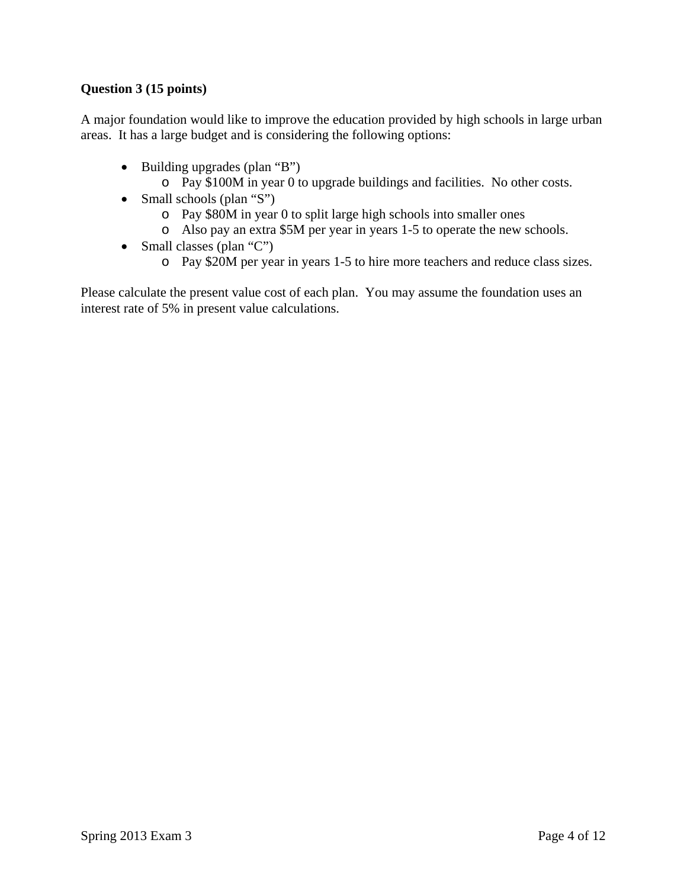# **Question 3 (15 points)**

A major foundation would like to improve the education provided by high schools in large urban areas. It has a large budget and is considering the following options:

- Building upgrades (plan "B")
	- o Pay \$100M in year 0 to upgrade buildings and facilities. No other costs.
- Small schools (plan "S")
	- o Pay \$80M in year 0 to split large high schools into smaller ones
	- o Also pay an extra \$5M per year in years 1-5 to operate the new schools.
- Small classes (plan "C")
	- o Pay \$20M per year in years 1-5 to hire more teachers and reduce class sizes.

Please calculate the present value cost of each plan. You may assume the foundation uses an interest rate of 5% in present value calculations.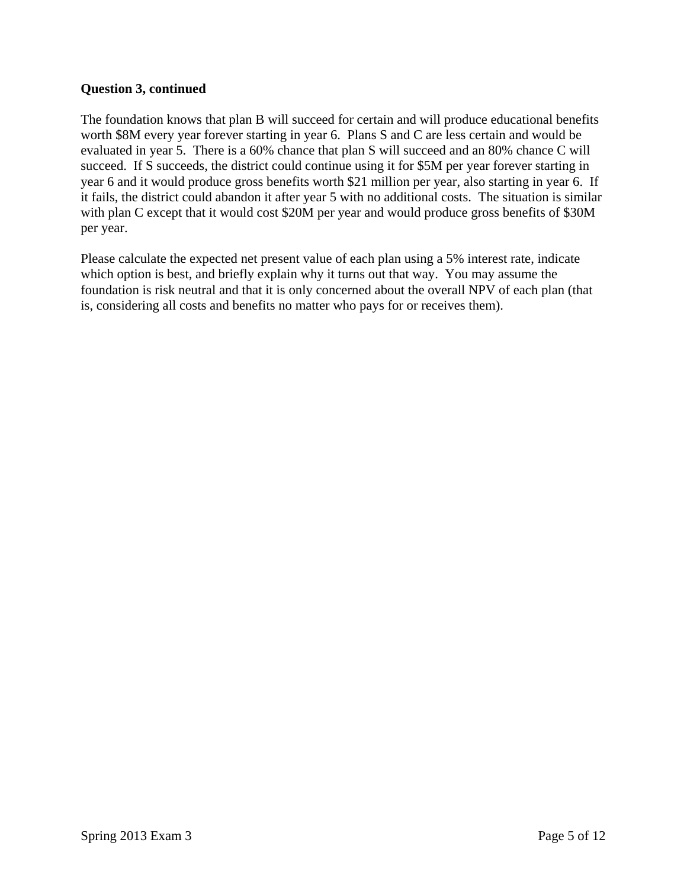#### **Question 3, continued**

The foundation knows that plan B will succeed for certain and will produce educational benefits worth \$8M every year forever starting in year 6. Plans S and C are less certain and would be evaluated in year 5. There is a 60% chance that plan S will succeed and an 80% chance C will succeed. If S succeeds, the district could continue using it for \$5M per year forever starting in year 6 and it would produce gross benefits worth \$21 million per year, also starting in year 6. If it fails, the district could abandon it after year 5 with no additional costs. The situation is similar with plan C except that it would cost \$20M per year and would produce gross benefits of \$30M per year.

Please calculate the expected net present value of each plan using a 5% interest rate, indicate which option is best, and briefly explain why it turns out that way. You may assume the foundation is risk neutral and that it is only concerned about the overall NPV of each plan (that is, considering all costs and benefits no matter who pays for or receives them).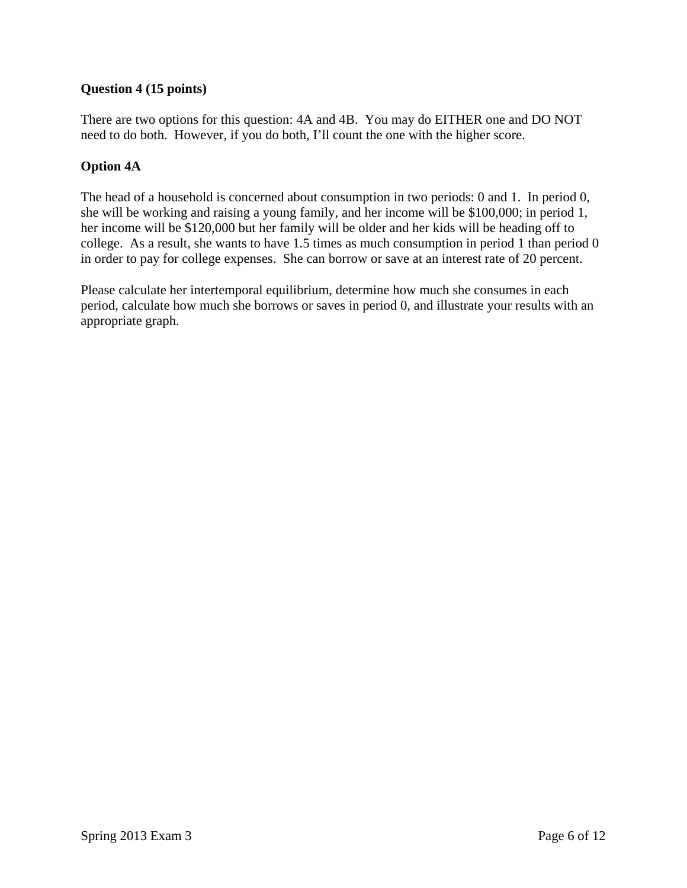# **Question 4 (15 points)**

There are two options for this question: 4A and 4B. You may do EITHER one and DO NOT need to do both. However, if you do both, I'll count the one with the higher score.

# **Option 4A**

The head of a household is concerned about consumption in two periods: 0 and 1. In period 0, she will be working and raising a young family, and her income will be \$100,000; in period 1, her income will be \$120,000 but her family will be older and her kids will be heading off to college. As a result, she wants to have 1.5 times as much consumption in period 1 than period 0 in order to pay for college expenses. She can borrow or save at an interest rate of 20 percent.

Please calculate her intertemporal equilibrium, determine how much she consumes in each period, calculate how much she borrows or saves in period 0, and illustrate your results with an appropriate graph.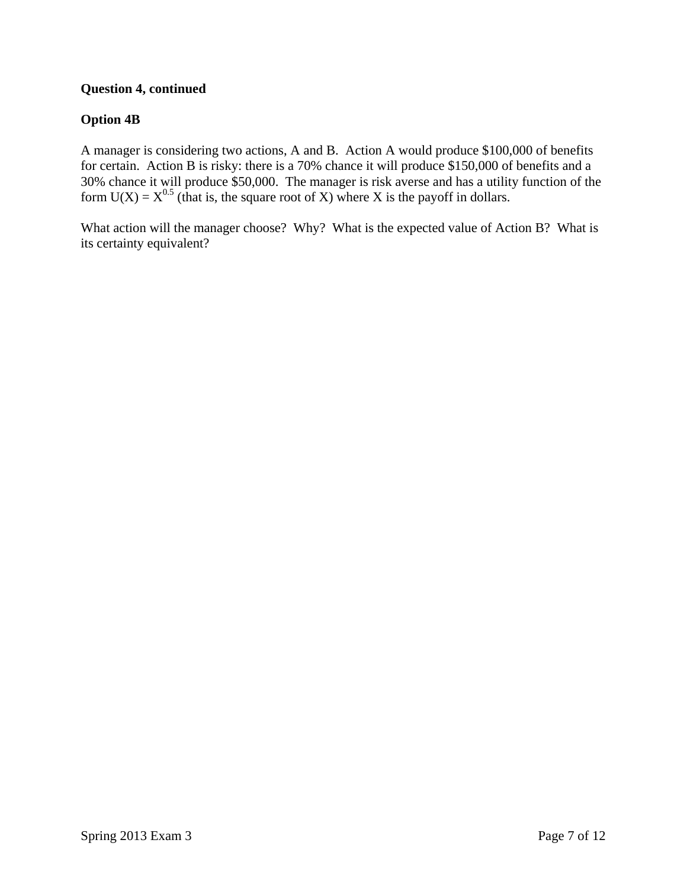# **Question 4, continued**

# **Option 4B**

A manager is considering two actions, A and B. Action A would produce \$100,000 of benefits for certain. Action B is risky: there is a 70% chance it will produce \$150,000 of benefits and a 30% chance it will produce \$50,000. The manager is risk averse and has a utility function of the form  $U(X) = X^{0.5}$  (that is, the square root of X) where X is the payoff in dollars.

What action will the manager choose? Why? What is the expected value of Action B? What is its certainty equivalent?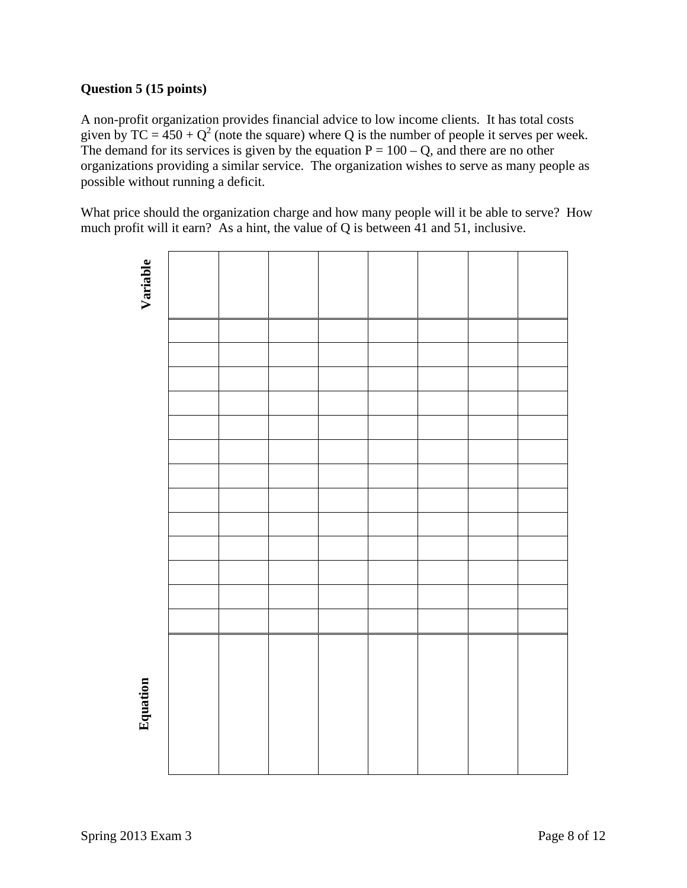# **Question 5 (15 points)**

A non-profit organization provides financial advice to low income clients. It has total costs given by TC =  $450 + Q^2$  (note the square) where Q is the number of people it serves per week. The demand for its services is given by the equation  $P = 100 - Q$ , and there are no other organizations providing a similar service. The organization wishes to serve as many people as possible without running a deficit.

What price should the organization charge and how many people will it be able to serve? How much profit will it earn? As a hint, the value of Q is between 41 and 51, inclusive.

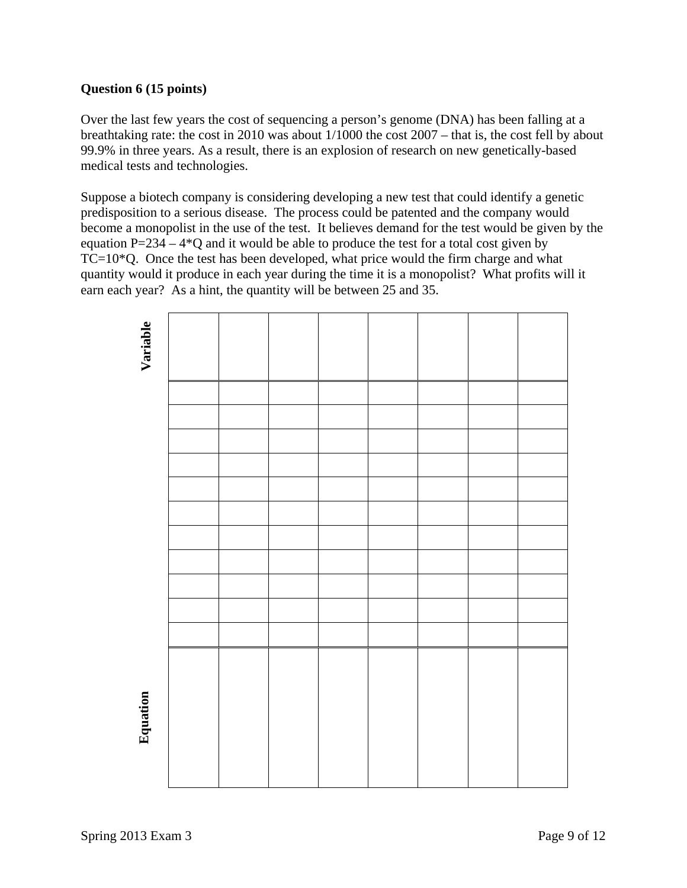### **Question 6 (15 points)**

Over the last few years the cost of sequencing a person's genome (DNA) has been falling at a breathtaking rate: the cost in 2010 was about 1/1000 the cost 2007 – that is, the cost fell by about 99.9% in three years. As a result, there is an explosion of research on new genetically-based medical tests and technologies.

Suppose a biotech company is considering developing a new test that could identify a genetic predisposition to a serious disease. The process could be patented and the company would become a monopolist in the use of the test. It believes demand for the test would be given by the equation  $P=234 - 4*Q$  and it would be able to produce the test for a total cost given by TC=10\*Q. Once the test has been developed, what price would the firm charge and what quantity would it produce in each year during the time it is a monopolist? What profits will it earn each year? As a hint, the quantity will be between 25 and 35.

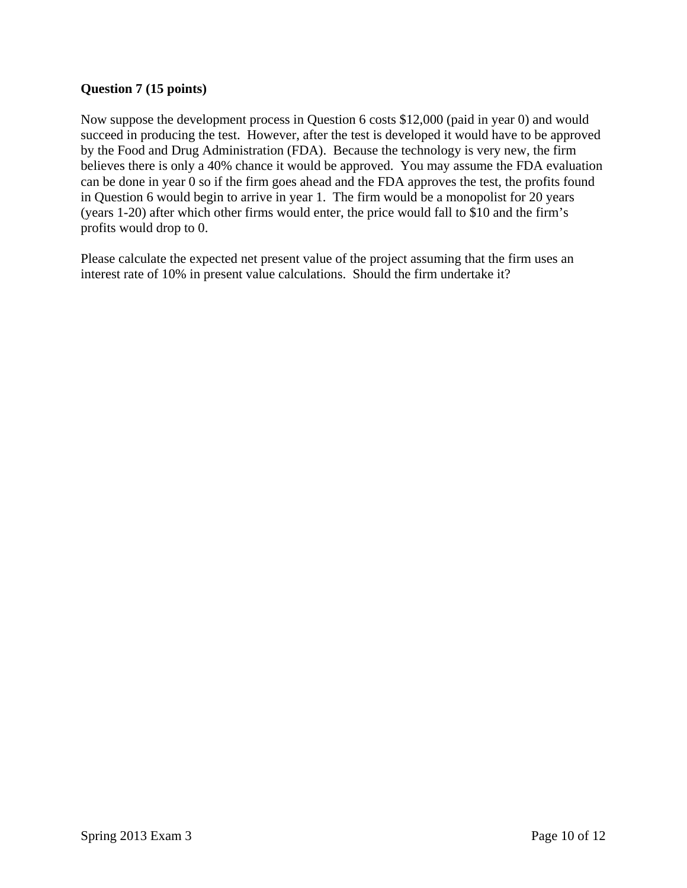#### **Question 7 (15 points)**

Now suppose the development process in Question 6 costs \$12,000 (paid in year 0) and would succeed in producing the test. However, after the test is developed it would have to be approved by the Food and Drug Administration (FDA). Because the technology is very new, the firm believes there is only a 40% chance it would be approved. You may assume the FDA evaluation can be done in year 0 so if the firm goes ahead and the FDA approves the test, the profits found in Question 6 would begin to arrive in year 1. The firm would be a monopolist for 20 years (years 1-20) after which other firms would enter, the price would fall to \$10 and the firm's profits would drop to 0.

Please calculate the expected net present value of the project assuming that the firm uses an interest rate of 10% in present value calculations. Should the firm undertake it?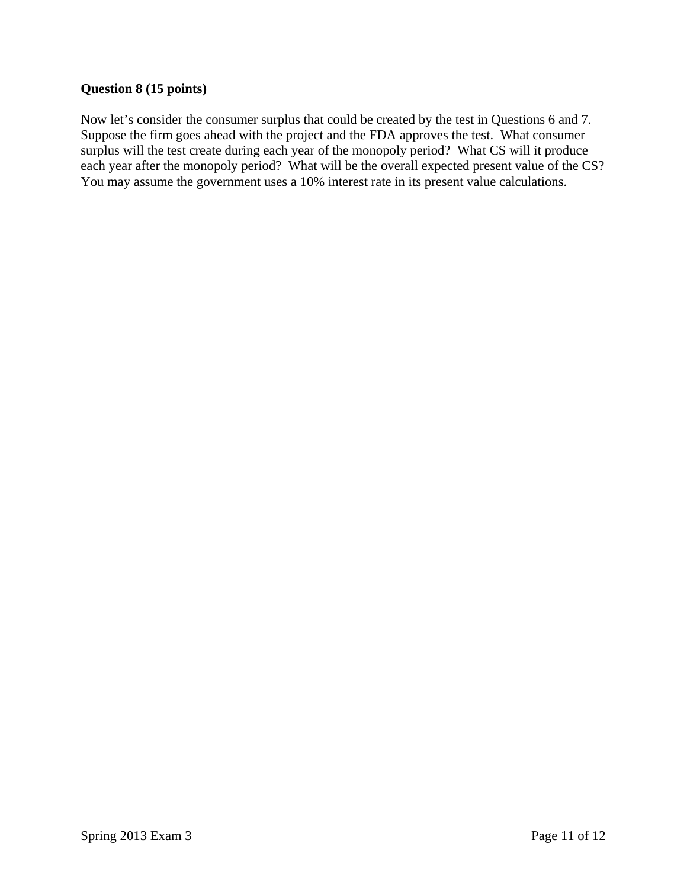### **Question 8 (15 points)**

Now let's consider the consumer surplus that could be created by the test in Questions 6 and 7. Suppose the firm goes ahead with the project and the FDA approves the test. What consumer surplus will the test create during each year of the monopoly period? What CS will it produce each year after the monopoly period? What will be the overall expected present value of the CS? You may assume the government uses a 10% interest rate in its present value calculations.